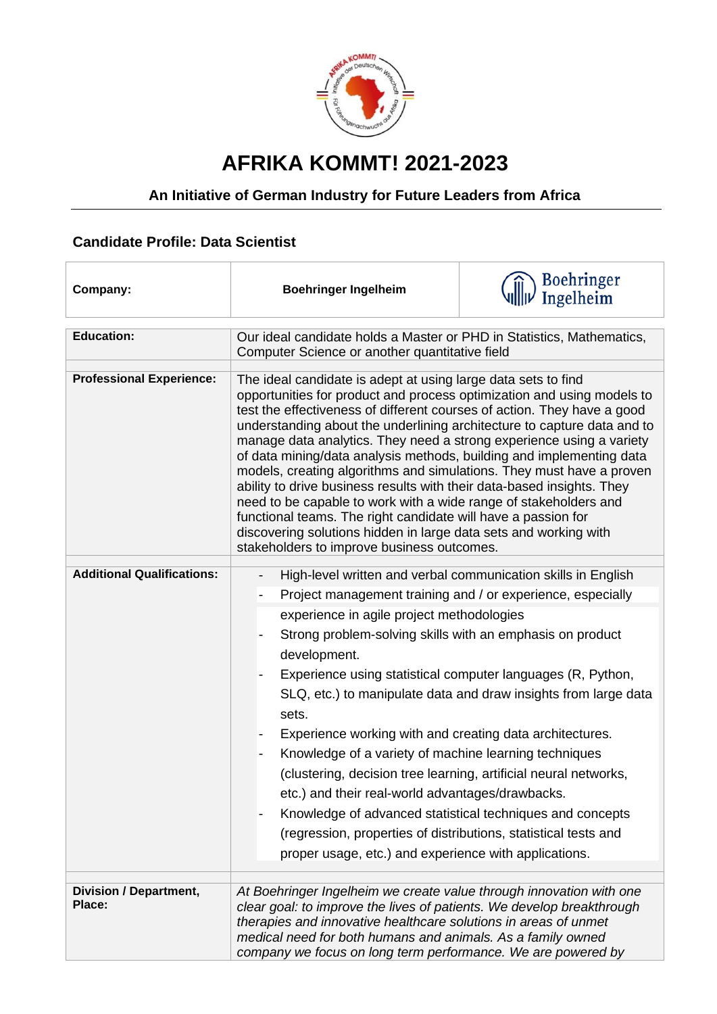

## **AFRIKA KOMMT! 2021-2023**

## **An Initiative of German Industry for Future Leaders from Africa**

## **Candidate Profile: Data Scientist**

| Company:                          | <b>Boehringer Ingelheim</b>                                                                                                                                                                                                                                                                                                                                                                                                                                                                                                                                                                                                                                                                                                                                                                                                                            | <b>Boehringer</b><br>Ingelheim                                  |
|-----------------------------------|--------------------------------------------------------------------------------------------------------------------------------------------------------------------------------------------------------------------------------------------------------------------------------------------------------------------------------------------------------------------------------------------------------------------------------------------------------------------------------------------------------------------------------------------------------------------------------------------------------------------------------------------------------------------------------------------------------------------------------------------------------------------------------------------------------------------------------------------------------|-----------------------------------------------------------------|
| <b>Education:</b>                 | Our ideal candidate holds a Master or PHD in Statistics, Mathematics,                                                                                                                                                                                                                                                                                                                                                                                                                                                                                                                                                                                                                                                                                                                                                                                  |                                                                 |
|                                   | Computer Science or another quantitative field                                                                                                                                                                                                                                                                                                                                                                                                                                                                                                                                                                                                                                                                                                                                                                                                         |                                                                 |
| <b>Professional Experience:</b>   |                                                                                                                                                                                                                                                                                                                                                                                                                                                                                                                                                                                                                                                                                                                                                                                                                                                        |                                                                 |
|                                   | The ideal candidate is adept at using large data sets to find<br>opportunities for product and process optimization and using models to<br>test the effectiveness of different courses of action. They have a good<br>understanding about the underlining architecture to capture data and to<br>manage data analytics. They need a strong experience using a variety<br>of data mining/data analysis methods, building and implementing data<br>models, creating algorithms and simulations. They must have a proven<br>ability to drive business results with their data-based insights. They<br>need to be capable to work with a wide range of stakeholders and<br>functional teams. The right candidate will have a passion for<br>discovering solutions hidden in large data sets and working with<br>stakeholders to improve business outcomes. |                                                                 |
| <b>Additional Qualifications:</b> | High-level written and verbal communication skills in English<br>$\overline{\phantom{a}}$                                                                                                                                                                                                                                                                                                                                                                                                                                                                                                                                                                                                                                                                                                                                                              |                                                                 |
|                                   | Project management training and / or experience, especially<br>$\overline{\phantom{a}}$                                                                                                                                                                                                                                                                                                                                                                                                                                                                                                                                                                                                                                                                                                                                                                |                                                                 |
|                                   | experience in agile project methodologies                                                                                                                                                                                                                                                                                                                                                                                                                                                                                                                                                                                                                                                                                                                                                                                                              |                                                                 |
|                                   | Strong problem-solving skills with an emphasis on product                                                                                                                                                                                                                                                                                                                                                                                                                                                                                                                                                                                                                                                                                                                                                                                              |                                                                 |
|                                   | development.                                                                                                                                                                                                                                                                                                                                                                                                                                                                                                                                                                                                                                                                                                                                                                                                                                           |                                                                 |
|                                   | Experience using statistical computer languages (R, Python,                                                                                                                                                                                                                                                                                                                                                                                                                                                                                                                                                                                                                                                                                                                                                                                            |                                                                 |
|                                   | sets.                                                                                                                                                                                                                                                                                                                                                                                                                                                                                                                                                                                                                                                                                                                                                                                                                                                  | SLQ, etc.) to manipulate data and draw insights from large data |
|                                   | Experience working with and creating data architectures.                                                                                                                                                                                                                                                                                                                                                                                                                                                                                                                                                                                                                                                                                                                                                                                               |                                                                 |
|                                   | Knowledge of a variety of machine learning techniques                                                                                                                                                                                                                                                                                                                                                                                                                                                                                                                                                                                                                                                                                                                                                                                                  |                                                                 |
|                                   | (clustering, decision tree learning, artificial neural networks,                                                                                                                                                                                                                                                                                                                                                                                                                                                                                                                                                                                                                                                                                                                                                                                       |                                                                 |
|                                   | etc.) and their real-world advantages/drawbacks.                                                                                                                                                                                                                                                                                                                                                                                                                                                                                                                                                                                                                                                                                                                                                                                                       |                                                                 |
|                                   | Knowledge of advanced statistical techniques and concepts                                                                                                                                                                                                                                                                                                                                                                                                                                                                                                                                                                                                                                                                                                                                                                                              |                                                                 |
|                                   | (regression, properties of distributions, statistical tests and                                                                                                                                                                                                                                                                                                                                                                                                                                                                                                                                                                                                                                                                                                                                                                                        |                                                                 |
|                                   | proper usage, etc.) and experience with applications.                                                                                                                                                                                                                                                                                                                                                                                                                                                                                                                                                                                                                                                                                                                                                                                                  |                                                                 |
|                                   |                                                                                                                                                                                                                                                                                                                                                                                                                                                                                                                                                                                                                                                                                                                                                                                                                                                        |                                                                 |
| Division / Department,<br>Place:  | At Boehringer Ingelheim we create value through innovation with one<br>clear goal: to improve the lives of patients. We develop breakthrough<br>therapies and innovative healthcare solutions in areas of unmet<br>medical need for both humans and animals. As a family owned<br>company we focus on long term performance. We are powered by                                                                                                                                                                                                                                                                                                                                                                                                                                                                                                         |                                                                 |